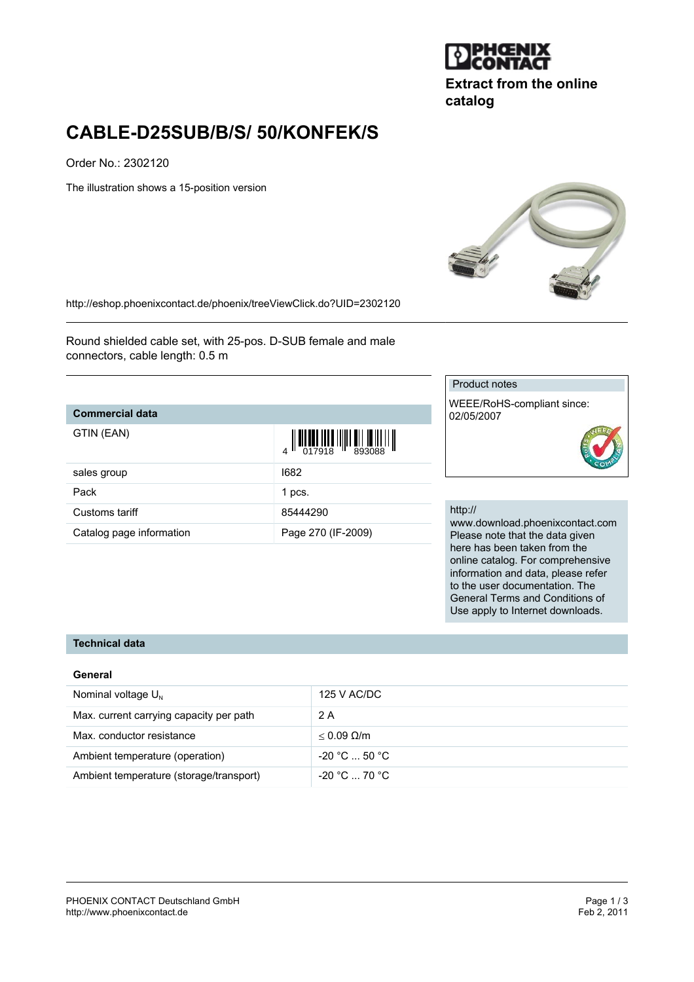

**Extract from the online catalog**

# **CABLE-D25SUB/B/S/ 50/KONFEK/S**

Order No.: 2302120

The illustration shows a 15-position version



<http://eshop.phoenixcontact.de/phoenix/treeViewClick.do?UID=2302120>

Round shielded cable set, with 25-pos. D-SUB female and male connectors, cable length: 0.5 m

Catalog page information Page 270 (IF-2009)

### **Commercial data**

| GTIN (EAN) |  |  |
|------------|--|--|
|            |  |  |
|            |  |  |

| GTIN (EAN)     |          |  |
|----------------|----------|--|
| sales group    | 1682     |  |
| Pack           | 1 pcs.   |  |
| Customs tariff | 85444290 |  |

#### Product notes

WEEE/RoHS-compliant since: 02/05/2007

#### http://

www.download.phoenixcontact.com Please note that the data given here has been taken from the online catalog. For comprehensive information and data, please refer to the user documentation. The General Terms and Conditions of Use apply to Internet downloads.

#### **Technical data**

#### **General**

| Nominal voltage $U_{N}$                 | 125 V AC/DC                   |
|-----------------------------------------|-------------------------------|
| Max. current carrying capacity per path | 2 A                           |
| Max. conductor resistance               | $< 0.09$ Q/m                  |
| Ambient temperature (operation)         | $-20 °C  50 °C$               |
| Ambient temperature (storage/transport) | $-20\degree$ C $-70\degree$ C |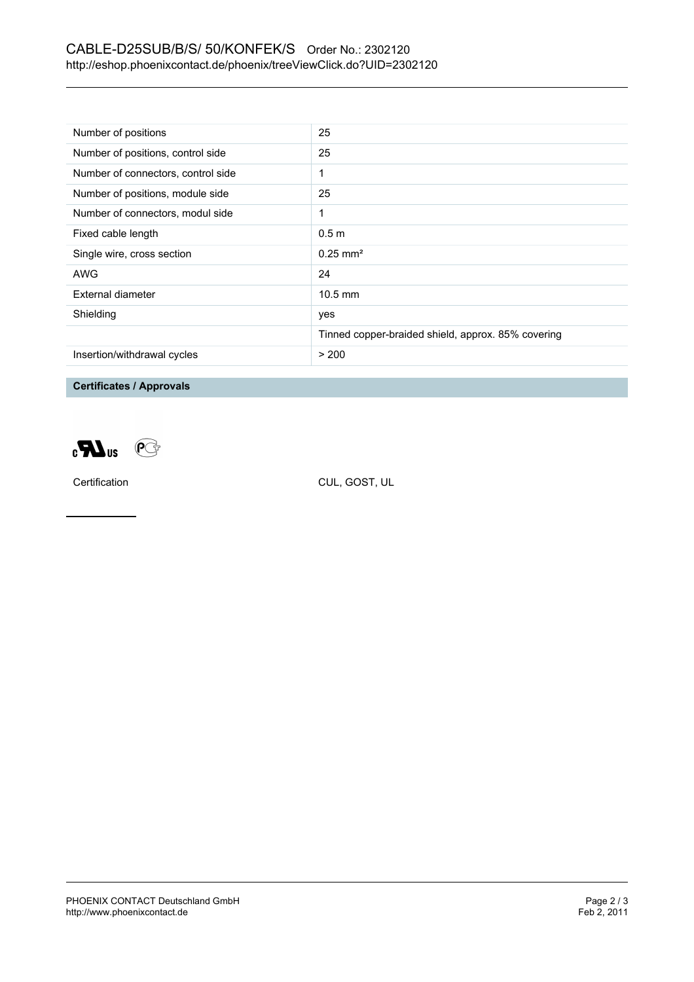## CABLE-D25SUB/B/S/ 50/KONFEK/S Order No.: 2302120 <http://eshop.phoenixcontact.de/phoenix/treeViewClick.do?UID=2302120>

| Number of positions                | 25                                                 |
|------------------------------------|----------------------------------------------------|
| Number of positions, control side  | 25                                                 |
| Number of connectors, control side | 1                                                  |
| Number of positions, module side   | 25                                                 |
| Number of connectors, modul side   | 1                                                  |
| Fixed cable length                 | 0.5 <sub>m</sub>                                   |
| Single wire, cross section         | $0.25 \text{ mm}^2$                                |
| <b>AWG</b>                         | 24                                                 |
| External diameter                  | $10.5$ mm                                          |
| Shielding                          | yes                                                |
|                                    | Tinned copper-braided shield, approx. 85% covering |
| Insertion/withdrawal cycles        | > 200                                              |

**Certificates / Approvals**





Certification CUL, GOST, UL